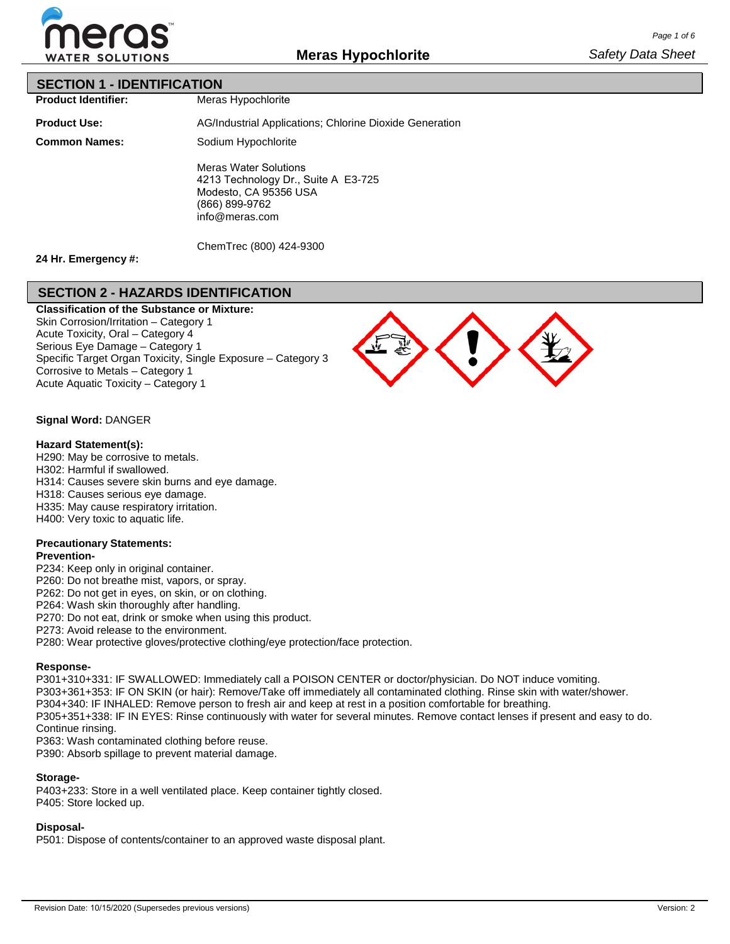

### **SECTION 1 - IDENTIFICATION**

**Product Identifier:**

Meras Hypochlorite

**Product Use:**

**Common Names:**

AG/Industrial Applications; Chlorine Dioxide Generation Sodium Hypochlorite Meras Water Solutions 4213 Technology Dr., Suite A E3-725 Modesto, CA 95356 USA (866) 899-9762 info@meras.com

ChemTrec (800) 424-9300

# **24 Hr. Emergency #:**

# **SECTION 2 - HAZARDS IDENTIFICATION**

**Classification of the Substance or Mixture:** Skin Corrosion/Irritation – Category 1 Acute Toxicity, Oral – Category 4 Serious Eye Damage – Category 1 Specific Target Organ Toxicity, Single Exposure – Category 3 Corrosive to Metals – Category 1 Acute Aquatic Toxicity – Category 1



### **Signal Word:** DANGER

#### **Hazard Statement(s):**

H290: May be corrosive to metals. H302: Harmful if swallowed.

H314: Causes severe skin burns and eye damage.

H318: Causes serious eye damage.

H335: May cause respiratory irritation.

H400: Very toxic to aquatic life.

### **Precautionary Statements:**

## **Prevention-**

P234: Keep only in original container.

P260: Do not breathe mist, vapors, or spray.

P262: Do not get in eyes, on skin, or on clothing.

P264: Wash skin thoroughly after handling.

P270: Do not eat, drink or smoke when using this product.

P273: Avoid release to the environment.

P280: Wear protective gloves/protective clothing/eye protection/face protection.

#### **Response-**

P301+310+331: IF SWALLOWED: Immediately call a POISON CENTER or doctor/physician. Do NOT induce vomiting. P303+361+353: IF ON SKIN (or hair): Remove/Take off immediately all contaminated clothing. Rinse skin with water/shower. P304+340: IF INHALED: Remove person to fresh air and keep at rest in a position comfortable for breathing. P305+351+338: IF IN EYES: Rinse continuously with water for several minutes. Remove contact lenses if present and easy to do. Continue rinsing.

P363: Wash contaminated clothing before reuse.

P390: Absorb spillage to prevent material damage.

### **Storage-**

P403+233: Store in a well ventilated place. Keep container tightly closed. P405: Store locked up.

### **Disposal-**

P501: Dispose of contents/container to an approved waste disposal plant.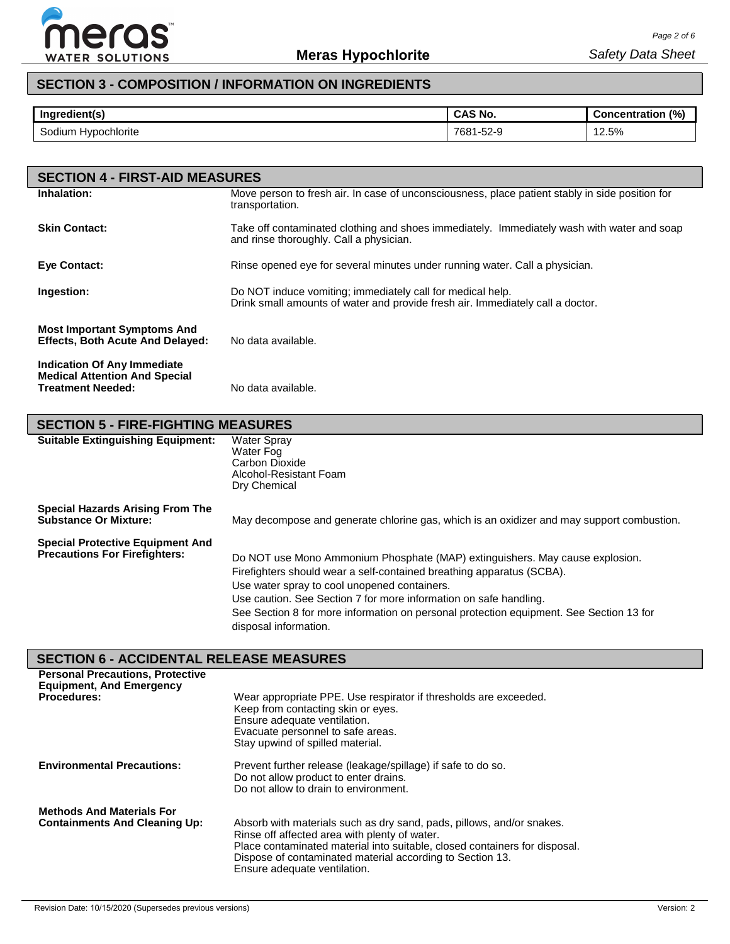

# **SECTION 3 - COMPOSITION / INFORMATION ON INGREDIENTS**

| Ingredient(s)       | <b>CAS No.</b> | (% )<br><b>Concentration</b> |
|---------------------|----------------|------------------------------|
| <b>Hypochlorite</b> | 1-52-9         | 2.5%                         |
| Sodium              | 7681           | $\sim$                       |

| <b>SECTION 4 - FIRST-AID MEASURES</b>                                                           |                                                                                                                                              |
|-------------------------------------------------------------------------------------------------|----------------------------------------------------------------------------------------------------------------------------------------------|
| Inhalation:                                                                                     | Move person to fresh air. In case of unconsciousness, place patient stably in side position for<br>transportation.                           |
| <b>Skin Contact:</b>                                                                            | Take off contaminated clothing and shoes immediately. Immediately wash with water and soap<br>and rinse thoroughly. Call a physician.        |
| Eye Contact:                                                                                    | Rinse opened eye for several minutes under running water. Call a physician.                                                                  |
| Ingestion:                                                                                      | Do NOT induce vomiting; immediately call for medical help.<br>Drink small amounts of water and provide fresh air. Immediately call a doctor. |
| <b>Most Important Symptoms And</b><br><b>Effects, Both Acute And Delayed:</b>                   | No data available.                                                                                                                           |
| Indication Of Any Immediate<br><b>Medical Attention And Special</b><br><b>Treatment Needed:</b> | No data available.                                                                                                                           |

| <b>SECTION 5 - FIRE-FIGHTING MEASURES</b>                                       |                                                                                                                                                                                                                                                                                                                                                                                                |  |  |  |  |  |  |
|---------------------------------------------------------------------------------|------------------------------------------------------------------------------------------------------------------------------------------------------------------------------------------------------------------------------------------------------------------------------------------------------------------------------------------------------------------------------------------------|--|--|--|--|--|--|
| <b>Suitable Extinguishing Equipment:</b>                                        | <b>Water Spray</b><br>Water Fog<br>Carbon Dioxide<br>Alcohol-Resistant Foam<br>Dry Chemical                                                                                                                                                                                                                                                                                                    |  |  |  |  |  |  |
| <b>Special Hazards Arising From The</b><br><b>Substance Or Mixture:</b>         | May decompose and generate chlorine gas, which is an oxidizer and may support combustion.                                                                                                                                                                                                                                                                                                      |  |  |  |  |  |  |
| <b>Special Protective Equipment And</b><br><b>Precautions For Firefighters:</b> | Do NOT use Mono Ammonium Phosphate (MAP) extinguishers. May cause explosion.<br>Firefighters should wear a self-contained breathing apparatus (SCBA).<br>Use water spray to cool unopened containers.<br>Use caution. See Section 7 for more information on safe handling.<br>See Section 8 for more information on personal protection equipment. See Section 13 for<br>disposal information. |  |  |  |  |  |  |

# **SECTION 6 - ACCIDENTAL RELEASE MEASURES**

| <b>Personal Precautions, Protective</b><br><b>Equipment, And Emergency</b><br><b>Procedures:</b> | Wear appropriate PPE. Use respirator if thresholds are exceeded.<br>Keep from contacting skin or eyes.<br>Ensure adequate ventilation.<br>Evacuate personnel to safe areas.<br>Stay upwind of spilled material.                                                                                   |
|--------------------------------------------------------------------------------------------------|---------------------------------------------------------------------------------------------------------------------------------------------------------------------------------------------------------------------------------------------------------------------------------------------------|
| <b>Environmental Precautions:</b>                                                                | Prevent further release (leakage/spillage) if safe to do so.<br>Do not allow product to enter drains.<br>Do not allow to drain to environment.                                                                                                                                                    |
| <b>Methods And Materials For</b><br><b>Containments And Cleaning Up:</b>                         | Absorb with materials such as dry sand, pads, pillows, and/or snakes.<br>Rinse off affected area with plenty of water.<br>Place contaminated material into suitable, closed containers for disposal.<br>Dispose of contaminated material according to Section 13.<br>Ensure adequate ventilation. |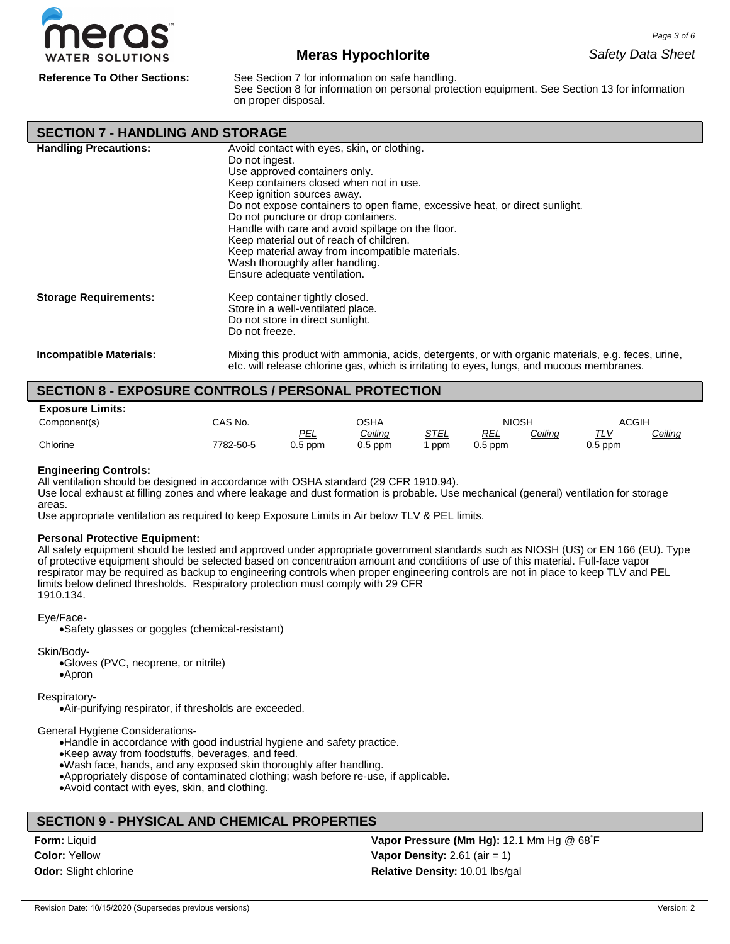

**Reference To Other Sections:** See Section 7 for information on safe handling.

See Section 8 for information on personal protection equipment. See Section 13 for information on proper disposal.

| <b>SECTION 7 - HANDLING AND STORAGE</b> |                                                                                                                                                                                                                                                                                                                                                                                                                                                                                                                      |
|-----------------------------------------|----------------------------------------------------------------------------------------------------------------------------------------------------------------------------------------------------------------------------------------------------------------------------------------------------------------------------------------------------------------------------------------------------------------------------------------------------------------------------------------------------------------------|
| <b>Handling Precautions:</b>            | Avoid contact with eyes, skin, or clothing.<br>Do not ingest.<br>Use approved containers only.<br>Keep containers closed when not in use.<br>Keep ignition sources away.<br>Do not expose containers to open flame, excessive heat, or direct sunlight.<br>Do not puncture or drop containers.<br>Handle with care and avoid spillage on the floor.<br>Keep material out of reach of children.<br>Keep material away from incompatible materials.<br>Wash thoroughly after handling.<br>Ensure adequate ventilation. |
| <b>Storage Requirements:</b>            | Keep container tightly closed.<br>Store in a well-ventilated place.<br>Do not store in direct sunlight.<br>Do not freeze.                                                                                                                                                                                                                                                                                                                                                                                            |
| <b>Incompatible Materials:</b>          | Mixing this product with ammonia, acids, detergents, or with organic materials, e.g. feces, urine,<br>etc. will release chlorine gas, which is irritating to eyes, lungs, and mucous membranes.                                                                                                                                                                                                                                                                                                                      |

# **SECTION 8 - EXPOSURE CONTROLS / PERSONAL PROTECTION**

| <b>Exposure Limits:</b> |           |           |                |      |              |         |              |                |
|-------------------------|-----------|-----------|----------------|------|--------------|---------|--------------|----------------|
| Component(s)            | CAS No.   |           | <u>OSHA</u>    |      | <b>NIOSH</b> |         | <b>ACGIH</b> |                |
|                         |           | PEL       | <u>Ceiling</u> | STEL | REL          | Ceiling | T1V          | <u>Ceiling</u> |
| Chlorine                | 7782-50-5 | $0.5$ ppm | $0.5$ ppm      | ppm  | $0.5$ ppm    |         | $0.5$ ppm    |                |

#### **Engineering Controls:**

All ventilation should be designed in accordance with OSHA standard (29 CFR 1910.94).

Use local exhaust at filling zones and where leakage and dust formation is probable. Use mechanical (general) ventilation for storage areas.

Use appropriate ventilation as required to keep Exposure Limits in Air below TLV & PEL limits.

#### **Personal Protective Equipment:**

All safety equipment should be tested and approved under appropriate government standards such as NIOSH (US) or EN 166 (EU). Type of protective equipment should be selected based on concentration amount and conditions of use of this material. Full-face vapor respirator may be required as backup to engineering controls when proper engineering controls are not in place to keep TLV and PEL limits below defined thresholds. Respiratory protection must comply with 29 CFR 1910.134.

#### Eye/Face-

•Safety glasses or goggles (chemical-resistant)

Skin/Body-

•Gloves (PVC, neoprene, or nitrile) •Apron

Respiratory-

•Air-purifying respirator, if thresholds are exceeded.

General Hygiene Considerations-

•Handle in accordance with good industrial hygiene and safety practice.

•Keep away from foodstuffs, beverages, and feed.

•Wash face, hands, and any exposed skin thoroughly after handling.

•Appropriately dispose of contaminated clothing; wash before re-use, if applicable.

•Avoid contact with eyes, skin, and clothing.

## **SECTION 9 - PHYSICAL AND CHEMICAL PROPERTIES**

**Form:** Liquid **Color:** Yellow **Odor:** Slight chlorine

**Vapor Pressure (Mm Hg):** 12.1 Mm Hg @ 68° F **Vapor Density:** 2.61 (air = 1) **Relative Density:** 10.01 lbs/gal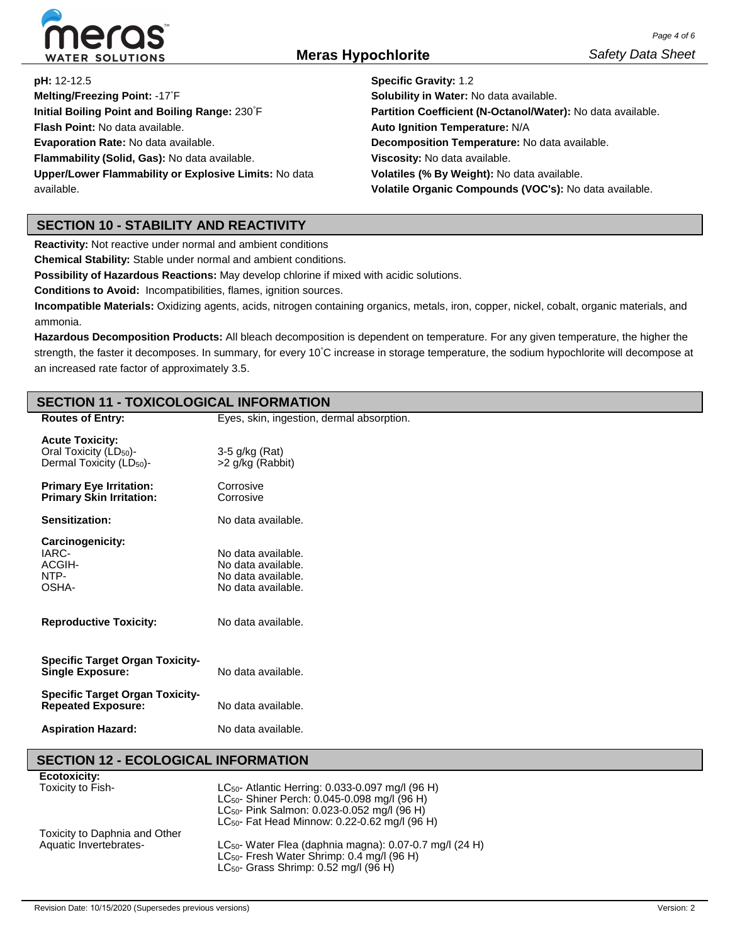

**pH:** 12-12.5

**Melting/Freezing Point:** -17° F **Initial Boiling Point and Boiling Range:** 230° F **Flash Point:** No data available. **Evaporation Rate:** No data available. **Flammability (Solid, Gas):** No data available. **Upper/Lower Flammability or Explosive Limits:** No data available.

**Specific Gravity:** 1.2 **Solubility in Water:** No data available. **Partition Coefficient (N-Octanol/Water):** No data available. **Auto Ignition Temperature:** N/A **Decomposition Temperature:** No data available. **Viscosity:** No data available. **Volatiles (% By Weight):** No data available. **Volatile Organic Compounds (VOC's):** No data available.

# **SECTION 10 - STABILITY AND REACTIVITY**

**Reactivity:** Not reactive under normal and ambient conditions

**Chemical Stability:** Stable under normal and ambient conditions.

**Possibility of Hazardous Reactions:** May develop chlorine if mixed with acidic solutions.

**Conditions to Avoid:** Incompatibilities, flames, ignition sources.

**Incompatible Materials:** Oxidizing agents, acids, nitrogen containing organics, metals, iron, copper, nickel, cobalt, organic materials, and ammonia.

**Hazardous Decomposition Products:** All bleach decomposition is dependent on temperature. For any given temperature, the higher the strength, the faster it decomposes. In summary, for every 10° C increase in storage temperature, the sodium hypochlorite will decompose at an increased rate factor of approximately 3.5.

#### **SECTION 11 - TOXICOLOGICAL INFORMATION Routes of Entry:** Eyes, skin, ingestion, dermal absorption. **Acute Toxicity:** Oral Toxicity (LD<sub>50</sub>)-Dermal Toxicity (LD<sub>50</sub>)-3-5 g/kg (Rat) >2 g/kg (Rabbit) **Primary Eye Irritation: Primary Skin Irritation: Corrosive Corrosive Sensitization:** No data available. **Carcinogenicity:** IARC-ACGIH-NTP-OSHA-**Reproductive Toxicity:** No data available. No data available. No data available. No data available. No data available. **Specific Target Organ Toxicity-Single Exposure:** No data available. **Specific Target Organ Toxicity-Repeated Exposure:** No data available. **Aspiration Hazard:** No data available.

## **SECTION 12 - ECOLOGICAL INFORMATION**

| <b>Ecotoxicity:</b>           |                                                                     |
|-------------------------------|---------------------------------------------------------------------|
| Toxicity to Fish-             | LC <sub>50</sub> - Atlantic Herring: 0.033-0.097 mg/l (96 H)        |
|                               | LC <sub>50</sub> - Shiner Perch: 0.045-0.098 mg/l (96 H)            |
|                               | LC <sub>50</sub> - Pink Salmon: 0.023-0.052 mg/l (96 H)             |
|                               | LC <sub>50</sub> - Fat Head Minnow: 0.22-0.62 mg/l (96 H)           |
| Toxicity to Daphnia and Other |                                                                     |
| Aquatic Invertebrates-        | LC <sub>50</sub> - Water Flea (daphnia magna): 0.07-0.7 mg/l (24 H) |
|                               | LC <sub>50</sub> - Fresh Water Shrimp: 0.4 mg/l (96 H)              |
|                               | LC <sub>50</sub> - Grass Shrimp: $0.52$ mg/l ( $96$ H)              |
|                               |                                                                     |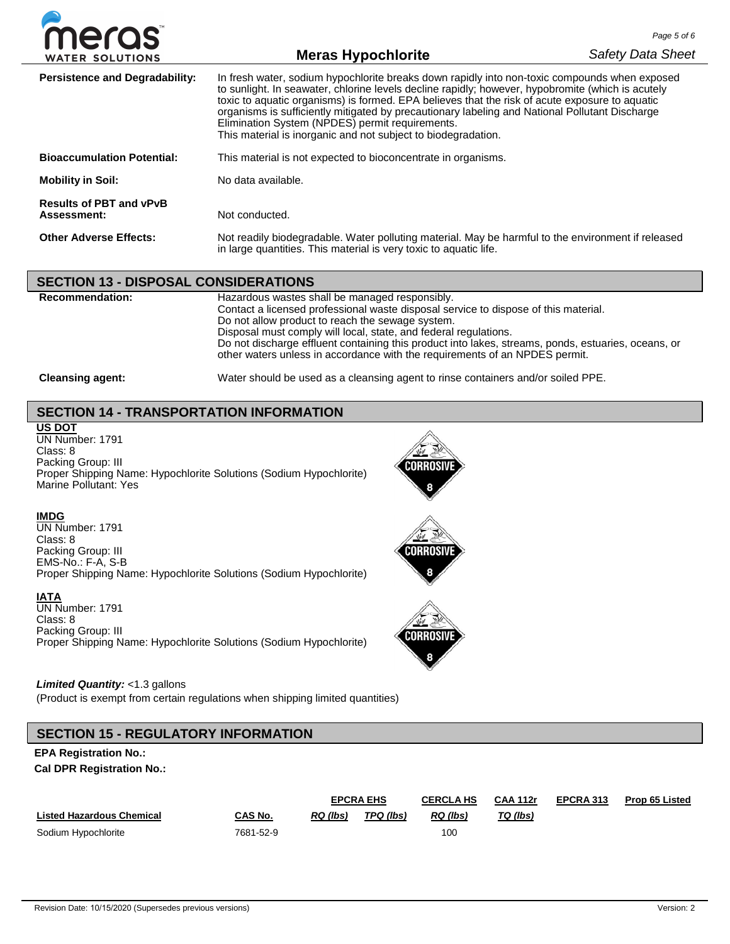

# **Meras Hypochlorite**

| <b>Persistence and Degradability:</b>         | In fresh water, sodium hypochlorite breaks down rapidly into non-toxic compounds when exposed<br>to sunlight. In seawater, chlorine levels decline rapidly; however, hypobromite (which is acutely<br>toxic to aquatic organisms) is formed. EPA believes that the risk of acute exposure to aquatic<br>organisms is sufficiently mitigated by precautionary labeling and National Pollutant Discharge<br>Elimination System (NPDES) permit requirements.<br>This material is inorganic and not subject to biodegradation. |
|-----------------------------------------------|----------------------------------------------------------------------------------------------------------------------------------------------------------------------------------------------------------------------------------------------------------------------------------------------------------------------------------------------------------------------------------------------------------------------------------------------------------------------------------------------------------------------------|
| <b>Bioaccumulation Potential:</b>             | This material is not expected to bioconcentrate in organisms.                                                                                                                                                                                                                                                                                                                                                                                                                                                              |
| <b>Mobility in Soil:</b>                      | No data available.                                                                                                                                                                                                                                                                                                                                                                                                                                                                                                         |
| <b>Results of PBT and vPvB</b><br>Assessment: | Not conducted.                                                                                                                                                                                                                                                                                                                                                                                                                                                                                                             |
| <b>Other Adverse Effects:</b>                 | Not readily biodegradable. Water polluting material. May be harmful to the environment if released<br>in large quantities. This material is very toxic to aquatic life.                                                                                                                                                                                                                                                                                                                                                    |

### **SECTION 13 - DISPOSAL CONSIDERATIONS**

| <b>Recommendation:</b>  | Hazardous wastes shall be managed responsibly.<br>Contact a licensed professional waste disposal service to dispose of this material.<br>Do not allow product to reach the sewage system.<br>Disposal must comply will local, state, and federal regulations.<br>Do not discharge effluent containing this product into lakes, streams, ponds, estuaries, oceans, or<br>other waters unless in accordance with the requirements of an NPDES permit. |
|-------------------------|-----------------------------------------------------------------------------------------------------------------------------------------------------------------------------------------------------------------------------------------------------------------------------------------------------------------------------------------------------------------------------------------------------------------------------------------------------|
| <b>Cleansing agent:</b> | Water should be used as a cleansing agent to rinse containers and/or soiled PPE.                                                                                                                                                                                                                                                                                                                                                                    |

# **SECTION 14 - TRANSPORTATION INFORMATION**

**US DOT** UN Number: 1791 Class: 8 Packing Group: III Proper Shipping Name: Hypochlorite Solutions (Sodium Hypochlorite) Marine Pollutant: Yes



Corrosiv

## **IMDG**

UN Number: 1791 Class: 8 Packing Group: III EMS-No.: F-A, S-B Proper Shipping Name: Hypochlorite Solutions (Sodium Hypochlorite)

### **IATA**

UN Number: 1791 Class: 8 Packing Group: III Proper Shipping Name: Hypochlorite Solutions (Sodium Hypochlorite)

### *Limited Quantity:* <1.3 gallons

(Product is exempt from certain regulations when shipping limited quantities)

# **SECTION 15 - REGULATORY INFORMATION**

### **EPA Registration No.:**

**Cal DPR Registration No.:**

|                                  |           | <b>EPCRA EHS</b> |           | <b>CERCLA HS</b> | <b>CAA 112r</b> | EPCRA 313 | <b>Prop 65 Listed</b> |
|----------------------------------|-----------|------------------|-----------|------------------|-----------------|-----------|-----------------------|
| <b>Listed Hazardous Chemical</b> | CAS No.   | RQ (lbs)         | TPQ (lbs) | RQ (lbs)         | TQ (lbs)        |           |                       |
| Sodium Hypochlorite              | 7681-52-9 |                  |           | 100              |                 |           |                       |